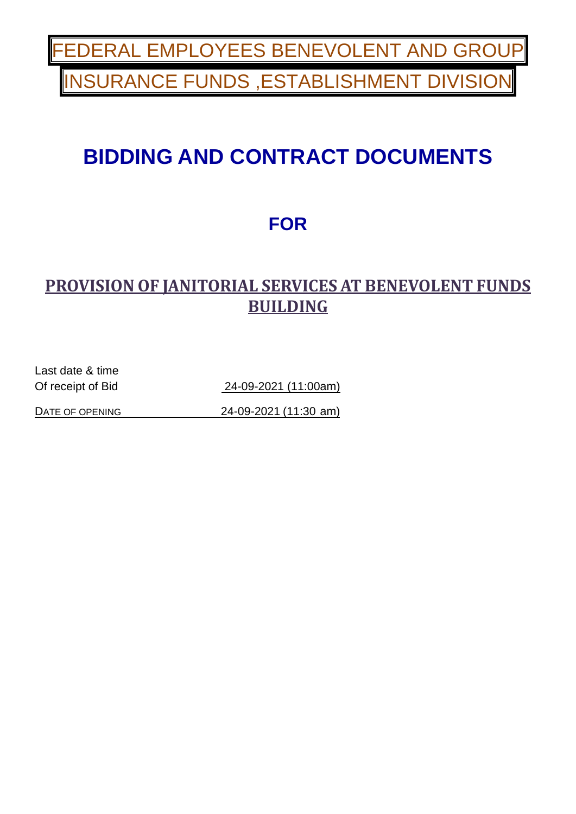ERAL EMPLOYEES BENEVOLENT AND GRO **NSURANCE FUNDS, ESTABLISHMENT DIVISION** 

# **BIDDING AND CONTRACT DOCUMENTS**

# **FOR**

## **PROVISION OF JANITORIAL SERVICES AT BENEVOLENT FUNDS BUILDING**

Last date & time

Of receipt of Bid 24-09-2021 (11:00am)

DATE OF OPENING 24-09-2021 (11:30 am)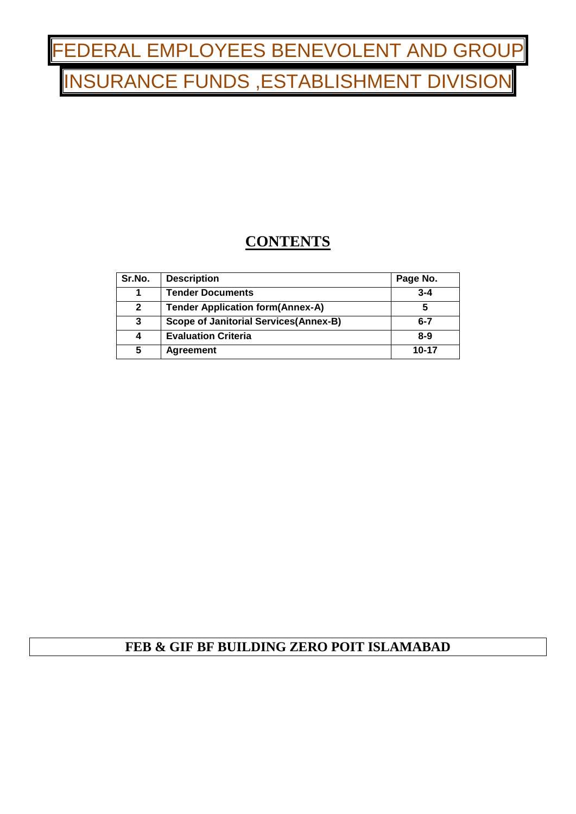# FEDERAL EMPLOYEES BENEVOLENT AND GROUP **NSURANCE FUNDS, ESTABLISHMENT DIVISIO**

## **CONTENTS**

| Sr.No.       | <b>Description</b>                            | Page No. |
|--------------|-----------------------------------------------|----------|
| 1            | <b>Tender Documents</b>                       | $3 - 4$  |
| $\mathbf{2}$ | <b>Tender Application form(Annex-A)</b>       | 5        |
| 3            | <b>Scope of Janitorial Services (Annex-B)</b> | $6 - 7$  |
| 4            | <b>Evaluation Criteria</b>                    | $8-9$    |
| 5            | <b>Agreement</b>                              | 10-17    |

### **FEB & GIF BF BUILDING ZERO POIT ISLAMABAD**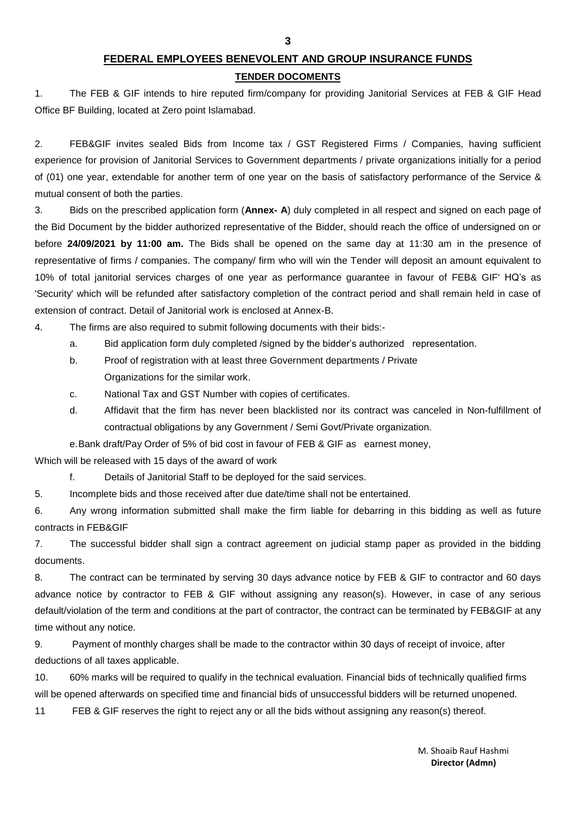**3**

#### **FEDERAL EMPLOYEES BENEVOLENT AND GROUP INSURANCE FUNDS**

#### **TENDER DOCOMENTS**

1. The FEB & GIF intends to hire reputed firm/company for providing Janitorial Services at FEB & GIF Head Office BF Building, located at Zero point Islamabad.

2. FEB&GIF invites sealed Bids from Income tax / GST Registered Firms / Companies, having sufficient experience for provision of Janitorial Services to Government departments / private organizations initially for a period of (01) one year, extendable for another term of one year on the basis of satisfactory performance of the Service & mutual consent of both the parties.

3. Bids on the prescribed application form (**Annex- A**) duly completed in all respect and signed on each page of the Bid Document by the bidder authorized representative of the Bidder, should reach the office of undersigned on or before **24/09/2021 by 11:00 am.** The Bids shall be opened on the same day at 11:30 am in the presence of representative of firms / companies. The company/ firm who will win the Tender will deposit an amount equivalent to 10% of total janitorial services charges of one year as performance guarantee in favour of FEB& GIF' HQ's as 'Security' which will be refunded after satisfactory completion of the contract period and shall remain held in case of extension of contract. Detail of Janitorial work is enclosed at Annex-B.

4. The firms are also required to submit following documents with their bids:-

- a. Bid application form duly completed /signed by the bidder's authorized representation.
- b. Proof of registration with at least three Government departments / Private Organizations for the similar work.
- c. National Tax and GST Number with copies of certificates.
- d. Affidavit that the firm has never been blacklisted nor its contract was canceled in Non-fulfillment of contractual obligations by any Government / Semi Govt/Private organization.
- e.Bank draft/Pay Order of 5% of bid cost in favour of FEB & GIF as earnest money,

Which will be released with 15 days of the award of work

f. Details of Janitorial Staff to be deployed for the said services.

5. Incomplete bids and those received after due date/time shall not be entertained.

6. Any wrong information submitted shall make the firm liable for debarring in this bidding as well as future contracts in FEB&GIF

7. The successful bidder shall sign a contract agreement on judicial stamp paper as provided in the bidding documents.

8. The contract can be terminated by serving 30 days advance notice by FEB & GIF to contractor and 60 days advance notice by contractor to FEB & GIF without assigning any reason(s). However, in case of any serious default/violation of the term and conditions at the part of contractor, the contract can be terminated by FEB&GIF at any time without any notice.

9. Payment of monthly charges shall be made to the contractor within 30 days of receipt of invoice, after deductions of all taxes applicable.

10. 60% marks will be required to qualify in the technical evaluation. Financial bids of technically qualified firms will be opened afterwards on specified time and financial bids of unsuccessful bidders will be returned unopened.

11 FEB & GIF reserves the right to reject any or all the bids without assigning any reason(s) thereof.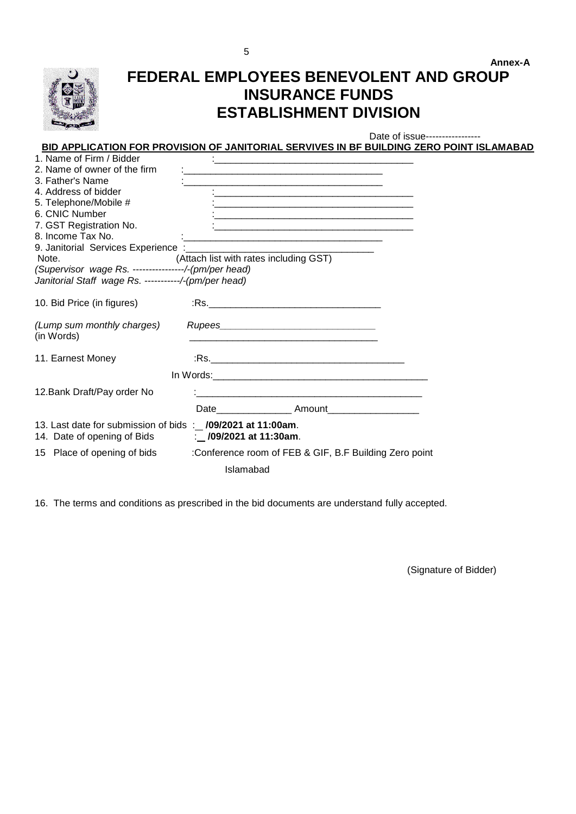

## **Annex-A FEDERAL EMPLOYEES BENEVOLENT AND GROUP INSURANCE FUNDS ESTABLISHMENT DIVISION**

Date of issue-----------------

#### **BID APPLICATION FOR PROVISION OF JANITORIAL SERVIVES IN BF BUILDING ZERO POINT ISLAMABAD**

| 1. Name of Firm / Bidder                                                                                           |                                                                                                                      |
|--------------------------------------------------------------------------------------------------------------------|----------------------------------------------------------------------------------------------------------------------|
| 2. Name of owner of the firm                                                                                       |                                                                                                                      |
| 3. Father's Name                                                                                                   | <u> 1989 - Johann Barbara, martin amerikan basar dan berasal dalam basa dalam basa dalam basa dalam basa dalam b</u> |
| 4. Address of bidder                                                                                               | <u>i de la contrada de la contrada de la contrada de la contrada de la contrada de la contrada de la contrada de</u> |
| 5. Telephone/Mobile #                                                                                              |                                                                                                                      |
| 6. CNIC Number                                                                                                     |                                                                                                                      |
| 7. GST Registration No.                                                                                            | <u> 1980 - Johann Barn, amerikansk politiker (d. 1980)</u>                                                           |
| 8. Income Tax No.                                                                                                  |                                                                                                                      |
| 9. Janitorial Services Experience :_______                                                                         |                                                                                                                      |
| Note.                                                                                                              | (Attach list with rates including GST)                                                                               |
| (Supervisor wage Rs. ---------------/-(pm/per head)                                                                |                                                                                                                      |
| Janitorial Staff wage Rs. -----------/-(pm/per head)                                                               |                                                                                                                      |
| 10. Bid Price (in figures)                                                                                         |                                                                                                                      |
| (Lump sum monthly charges)<br>(in Words)                                                                           |                                                                                                                      |
| 11. Earnest Money                                                                                                  |                                                                                                                      |
|                                                                                                                    |                                                                                                                      |
| 12. Bank Draft/Pay order No                                                                                        |                                                                                                                      |
|                                                                                                                    | Date______________________ Amount_______________________                                                             |
| 13. Last date for submission of bids :_ /09/2021 at 11:00am.<br>14. Date of opening of Bids : 109/2021 at 11:30am. |                                                                                                                      |
|                                                                                                                    | 15 Place of opening of bids :Conference room of FEB & GIF, B.F Building Zero point                                   |
|                                                                                                                    | Islamabad                                                                                                            |

16. The terms and conditions as prescribed in the bid documents are understand fully accepted.

(Signature of Bidder)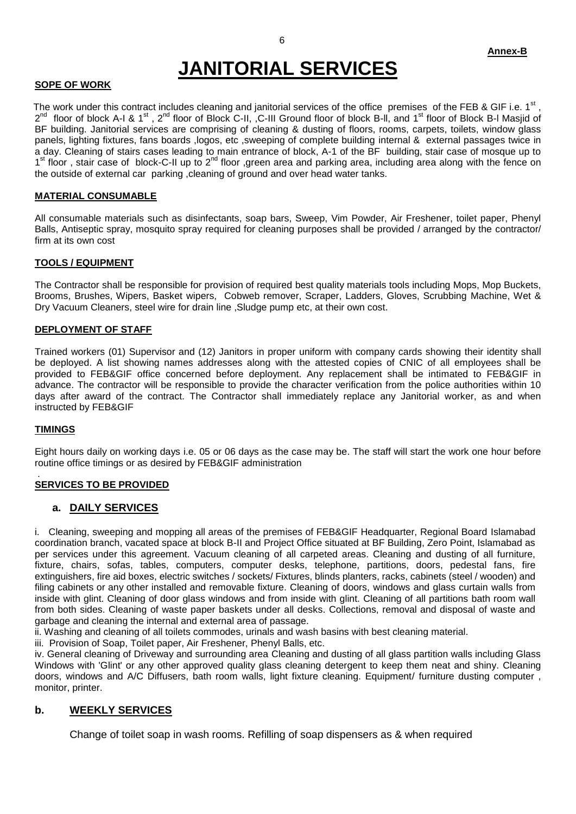# **JANITORIAL SERVICES**

#### **SOPE OF WORK**

The work under this contract includes cleaning and janitorial services of the office premises of the FEB & GIF i.e. 1<sup>st</sup> ,  $2^{nd}$  floor of block A-I & 1<sup>st</sup>,  $2^{nd}$  floor of Block C-II,  $C$ -III Ground floor of block B-II, and 1<sup>st</sup> floor of Block B-I Masjid of BF building. Janitorial services are comprising of cleaning & dusting of floors, rooms, carpets, toilets, window glass panels, lighting fixtures, fans boards ,logos, etc ,sweeping of complete building internal & external passages twice in a day. Cleaning of stairs cases leading to main entrance of block, A-1 of the BF building, stair case of mosque up to 1<sup>st</sup> floor, stair case of block-C-II up to 2<sup>nd</sup> floor, green area and parking area, including area along with the fence on the outside of external car parking ,cleaning of ground and over head water tanks.

#### **MATERIAL CONSUMABLE**

All consumable materials such as disinfectants, soap bars, Sweep, Vim Powder, Air Freshener, toilet paper, Phenyl Balls, Antiseptic spray, mosquito spray required for cleaning purposes shall be provided / arranged by the contractor/ firm at its own cost

#### **TOOLS / EQUIPMENT**

The Contractor shall be responsible for provision of required best quality materials tools including Mops, Mop Buckets, Brooms, Brushes, Wipers, Basket wipers, Cobweb remover, Scraper, Ladders, Gloves, Scrubbing Machine, Wet & Dry Vacuum Cleaners, steel wire for drain line ,Sludge pump etc, at their own cost.

#### **DEPLOYMENT OF STAFF**

Trained workers (01) Supervisor and (12) Janitors in proper uniform with company cards showing their identity shall be deployed. A list showing names addresses along with the attested copies of CNIC of all employees shall be provided to FEB&GIF office concerned before deployment. Any replacement shall be intimated to FEB&GIF in advance. The contractor will be responsible to provide the character verification from the police authorities within 10 days after award of the contract. The Contractor shall immediately replace any Janitorial worker, as and when instructed by FEB&GIF

#### **TIMINGS**

Eight hours daily on working days i.e. 05 or 06 days as the case may be. The staff will start the work one hour before routine office timings or as desired by FEB&GIF administration

#### . **SERVICES TO BE PROVIDED**

#### **a. DAILY SERVICES**

i. Cleaning, sweeping and mopping all areas of the premises of FEB&GIF Headquarter, Regional Board Islamabad coordination branch, vacated space at block B-II and Project Office situated at BF Building, Zero Point, Islamabad as per services under this agreement. Vacuum cleaning of all carpeted areas. Cleaning and dusting of all furniture, fixture, chairs, sofas, tables, computers, computer desks, telephone, partitions, doors, pedestal fans, fire extinguishers, fire aid boxes, electric switches / sockets/ Fixtures, blinds planters, racks, cabinets (steel / wooden) and filing cabinets or any other installed and removable fixture. Cleaning of doors, windows and glass curtain walls from inside with glint. Cleaning of door glass windows and from inside with glint. Cleaning of all partitions bath room wall from both sides. Cleaning of waste paper baskets under all desks. Collections, removal and disposal of waste and garbage and cleaning the internal and external area of passage.

ii. Washing and cleaning of all toilets commodes, urinals and wash basins with best cleaning material.

iii. Provision of Soap, Toilet paper, Air Freshener, Phenyl Balls, etc.

iv. General cleaning of Driveway and surrounding area Cleaning and dusting of all glass partition walls including Glass Windows with 'Glint' or any other approved quality glass cleaning detergent to keep them neat and shiny. Cleaning doors, windows and A/C Diffusers, bath room walls, light fixture cleaning. Equipment/ furniture dusting computer , monitor, printer.

#### **b. WEEKLY SERVICES**

Change of toilet soap in wash rooms. Refilling of soap dispensers as & when required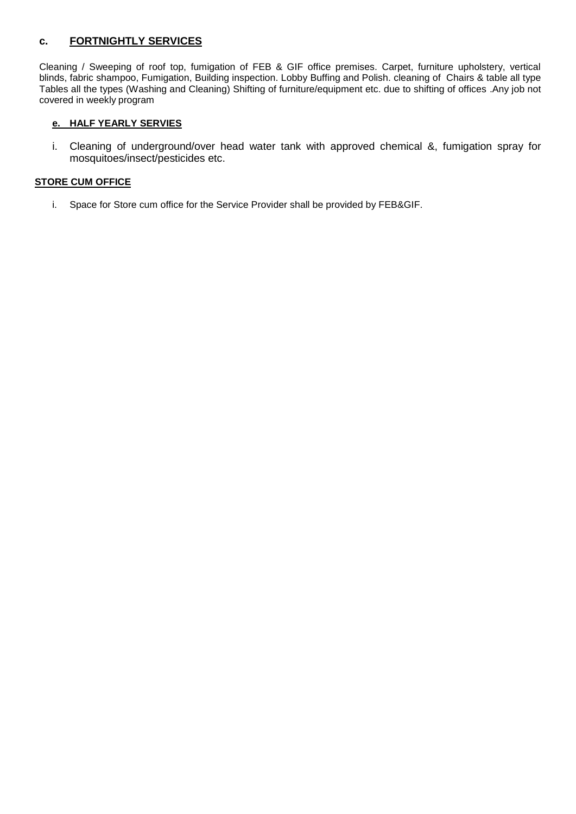#### **c. FORTNIGHTLY SERVICES**

Cleaning / Sweeping of roof top, fumigation of FEB & GIF office premises. Carpet, furniture upholstery, vertical blinds, fabric shampoo, Fumigation, Building inspection. Lobby Buffing and Polish. cleaning of Chairs & table all type Tables all the types (Washing and Cleaning) Shifting of furniture/equipment etc. due to shifting of offices .Any job not covered in weekly program

#### **e. HALF YEARLY SERVIES**

i. Cleaning of underground/over head water tank with approved chemical &, fumigation spray for mosquitoes/insect/pesticides etc.

#### **STORE CUM OFFICE**

i. Space for Store cum office for the Service Provider shall be provided by FEB&GIF.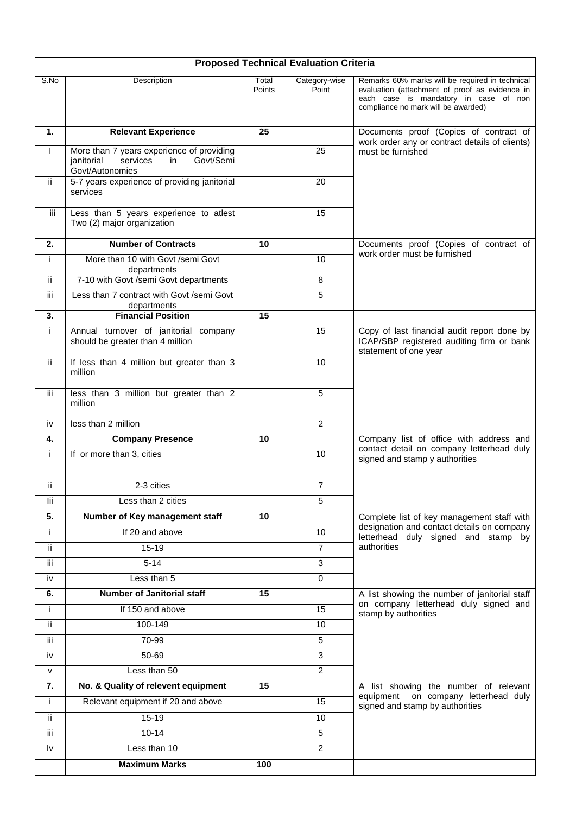|                         | <b>Proposed Technical Evaluation Criteria</b>                                                             |                 |                        |                                                                                                                                                                                   |  |  |  |
|-------------------------|-----------------------------------------------------------------------------------------------------------|-----------------|------------------------|-----------------------------------------------------------------------------------------------------------------------------------------------------------------------------------|--|--|--|
| S.No                    | Description                                                                                               | Total<br>Points | Category-wise<br>Point | Remarks 60% marks will be required in technical<br>evaluation (attachment of proof as evidence in<br>each case is mandatory in case of non<br>compliance no mark will be awarded) |  |  |  |
| 1.                      | <b>Relevant Experience</b>                                                                                | 25              |                        | Documents proof (Copies of contract of<br>work order any or contract details of clients)                                                                                          |  |  |  |
| $\mathsf{I}$            | More than 7 years experience of providing<br>Govt/Semi<br>services<br>in<br>janitorial<br>Govt/Autonomies |                 | 25                     | must be furnished                                                                                                                                                                 |  |  |  |
| ii.                     | 5-7 years experience of providing janitorial<br>services                                                  |                 | 20                     |                                                                                                                                                                                   |  |  |  |
| iii.                    | Less than 5 years experience to atlest<br>Two (2) major organization                                      |                 | 15                     |                                                                                                                                                                                   |  |  |  |
| 2.                      | <b>Number of Contracts</b>                                                                                | 10              |                        | Documents proof (Copies of contract of                                                                                                                                            |  |  |  |
| i.                      | More than 10 with Govt /semi Govt<br>departments                                                          |                 | 10                     | work order must be furnished                                                                                                                                                      |  |  |  |
| ij.                     | 7-10 with Govt /semi Govt departments                                                                     |                 | 8                      |                                                                                                                                                                                   |  |  |  |
| iii                     | Less than 7 contract with Govt /semi Govt<br>departments                                                  |                 | 5                      |                                                                                                                                                                                   |  |  |  |
| 3.                      | <b>Financial Position</b>                                                                                 | 15              |                        |                                                                                                                                                                                   |  |  |  |
| i.                      | Annual turnover of janitorial company<br>should be greater than 4 million                                 |                 | 15                     | Copy of last financial audit report done by<br>ICAP/SBP registered auditing firm or bank<br>statement of one year                                                                 |  |  |  |
| ii.                     | If less than 4 million but greater than 3<br>million                                                      |                 | 10                     |                                                                                                                                                                                   |  |  |  |
| iii                     | less than 3 million but greater than 2<br>million                                                         |                 | 5                      |                                                                                                                                                                                   |  |  |  |
| iv                      | less than 2 million                                                                                       |                 | $\overline{2}$         |                                                                                                                                                                                   |  |  |  |
| 4.                      | <b>Company Presence</b>                                                                                   | 10              |                        | Company list of office with address and                                                                                                                                           |  |  |  |
| Ť                       | If or more than 3, cities                                                                                 |                 | 10                     | contact detail on company letterhead duly<br>signed and stamp y authorities                                                                                                       |  |  |  |
| ij.                     | 2-3 cities                                                                                                |                 | $\overline{7}$         |                                                                                                                                                                                   |  |  |  |
| lii                     | Less than 2 cities                                                                                        |                 | 5                      |                                                                                                                                                                                   |  |  |  |
| $\overline{5}$ .        | Number of Key management staff                                                                            | 10              |                        | Complete list of key management staff with                                                                                                                                        |  |  |  |
| i.                      | If 20 and above                                                                                           |                 | 10                     | designation and contact details on company<br>letterhead duly signed and stamp by                                                                                                 |  |  |  |
| ii.                     | $15 - 19$                                                                                                 |                 | $\overline{7}$         | authorities                                                                                                                                                                       |  |  |  |
| iii                     | $5 - 14$                                                                                                  |                 | 3                      |                                                                                                                                                                                   |  |  |  |
| iv                      | Less than 5                                                                                               |                 | $\overline{0}$         |                                                                                                                                                                                   |  |  |  |
| 6.                      | <b>Number of Janitorial staff</b>                                                                         | 15              |                        | A list showing the number of janitorial staff                                                                                                                                     |  |  |  |
| i.                      | If 150 and above                                                                                          |                 | 15                     | on company letterhead duly signed and<br>stamp by authorities                                                                                                                     |  |  |  |
| ii.                     | 100-149                                                                                                   |                 | 10                     |                                                                                                                                                                                   |  |  |  |
| iii                     | 70-99                                                                                                     |                 | 5                      |                                                                                                                                                                                   |  |  |  |
| iv                      | 50-69                                                                                                     |                 | 3                      |                                                                                                                                                                                   |  |  |  |
| ${\sf V}$               | Less than 50                                                                                              |                 | $\overline{2}$         |                                                                                                                                                                                   |  |  |  |
| 7.                      | No. & Quality of relevent equipment                                                                       | 15              |                        | A list showing the number of relevant                                                                                                                                             |  |  |  |
| j.                      | Relevant equipment if 20 and above                                                                        |                 | 15                     | equipment on company letterhead duly<br>signed and stamp by authorities                                                                                                           |  |  |  |
| ii.                     | $15 - 19$                                                                                                 |                 | 10                     |                                                                                                                                                                                   |  |  |  |
| iii                     | $10 - 14$                                                                                                 |                 | 5                      |                                                                                                                                                                                   |  |  |  |
| $\mathsf{I} \mathsf{v}$ | Less than 10                                                                                              |                 | $\overline{2}$         |                                                                                                                                                                                   |  |  |  |
|                         | <b>Maximum Marks</b>                                                                                      | 100             |                        |                                                                                                                                                                                   |  |  |  |
|                         |                                                                                                           |                 |                        |                                                                                                                                                                                   |  |  |  |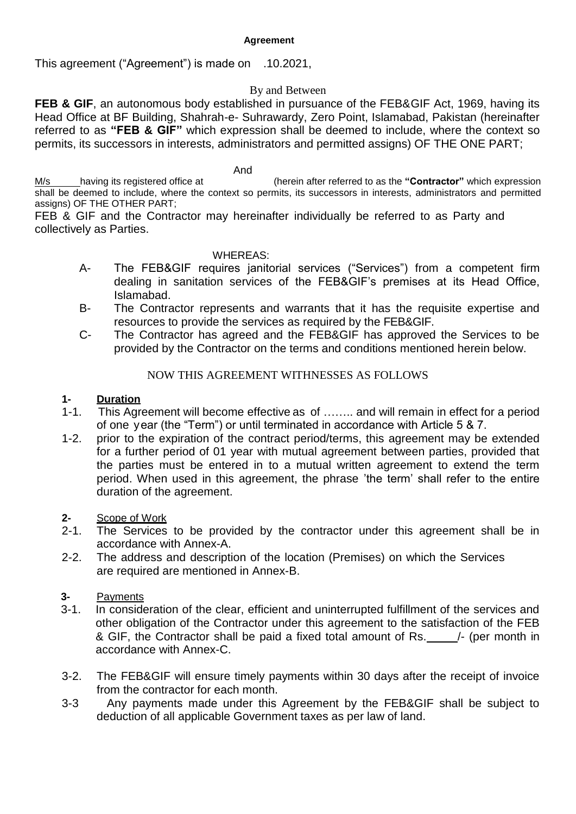#### **Agreement**

This agreement ("Agreement") is made on .10.2021,

#### By and Between

**FEB & GIF**, an autonomous body established in pursuance of the FEB&GIF Act, 1969, having its Head Office at BF Building, Shahrah-e- Suhrawardy, Zero Point, Islamabad, Pakistan (hereinafter referred to as **"FEB & GIF"** which expression shall be deemed to include, where the context so permits, its successors in interests, administrators and permitted assigns) OF THE ONE PART;

And

M/s having its registered office at (herein after referred to as the **"Contractor"** which expression shall be deemed to include, where the context so permits, its successors in interests, administrators and permitted assigns) OF THE OTHER PART;

FEB & GIF and the Contractor may hereinafter individually be referred to as Party and collectively as Parties.

#### WHEREAS:

- A- The FEB&GIF requires janitorial services ("Services") from a competent firm dealing in sanitation services of the FEB&GIF's premises at its Head Office, Islamabad.
- B- The Contractor represents and warrants that it has the requisite expertise and resources to provide the services as required by the FEB&GIF.
- C- The Contractor has agreed and the FEB&GIF has approved the Services to be provided by the Contractor on the terms and conditions mentioned herein below.

#### NOW THIS AGREEMENT WITHNESSES AS FOLLOWS

#### **1- Duration**

- 1-1. This Agreement will become effective as of …….. and will remain in effect for a period of one year (the "Term") or until terminated in accordance with Article 5 & 7.
- 1-2. prior to the expiration of the contract period/terms, this agreement may be extended for a further period of 01 year with mutual agreement between parties, provided that the parties must be entered in to a mutual written agreement to extend the term period. When used in this agreement, the phrase 'the term' shall refer to the entire duration of the agreement.

#### **2-** Scope of Work

- 2-1. The Services to be provided by the contractor under this agreement shall be in accordance with Annex-A.
- 2-2. The address and description of the location (Premises) on which the Services are required are mentioned in Annex-B.

#### **3-** Payments

- 3-1. In consideration of the clear, efficient and uninterrupted fulfillment of the services and other obligation of the Contractor under this agreement to the satisfaction of the FEB & GIF, the Contractor shall be paid a fixed total amount of Rs. 4. (per month in accordance with Annex-C.
- 3-2. The FEB&GIF will ensure timely payments within 30 days after the receipt of invoice from the contractor for each month.
- 3-3 Any payments made under this Agreement by the FEB&GIF shall be subject to deduction of all applicable Government taxes as per law of land.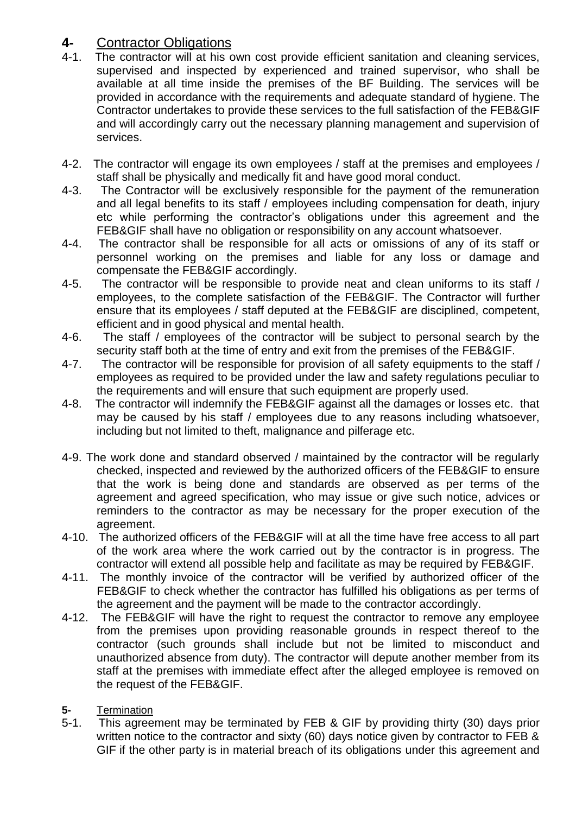### **4-** Contractor Obligations

- 4-1. The contractor will at his own cost provide efficient sanitation and cleaning services, supervised and inspected by experienced and trained supervisor, who shall be available at all time inside the premises of the BF Building. The services will be provided in accordance with the requirements and adequate standard of hygiene. The Contractor undertakes to provide these services to the full satisfaction of the FEB&GIF and will accordingly carry out the necessary planning management and supervision of services.
- 4-2. The contractor will engage its own employees / staff at the premises and employees / staff shall be physically and medically fit and have good moral conduct.
- 4-3. The Contractor will be exclusively responsible for the payment of the remuneration and all legal benefits to its staff / employees including compensation for death, injury etc while performing the contractor's obligations under this agreement and the FEB&GIF shall have no obligation or responsibility on any account whatsoever.
- 4-4. The contractor shall be responsible for all acts or omissions of any of its staff or personnel working on the premises and liable for any loss or damage and compensate the FEB&GIF accordingly.
- 4-5. The contractor will be responsible to provide neat and clean uniforms to its staff / employees, to the complete satisfaction of the FEB&GIF. The Contractor will further ensure that its employees / staff deputed at the FEB&GIF are disciplined, competent, efficient and in good physical and mental health.
- 4-6. The staff / employees of the contractor will be subject to personal search by the security staff both at the time of entry and exit from the premises of the FEB&GIF.
- 4-7. The contractor will be responsible for provision of all safety equipments to the staff / employees as required to be provided under the law and safety regulations peculiar to the requirements and will ensure that such equipment are properly used.
- 4-8. The contractor will indemnify the FEB&GIF against all the damages or losses etc. that may be caused by his staff / employees due to any reasons including whatsoever, including but not limited to theft, malignance and pilferage etc.
- 4-9. The work done and standard observed / maintained by the contractor will be regularly checked, inspected and reviewed by the authorized officers of the FEB&GIF to ensure that the work is being done and standards are observed as per terms of the agreement and agreed specification, who may issue or give such notice, advices or reminders to the contractor as may be necessary for the proper execution of the agreement.
- 4-10. The authorized officers of the FEB&GIF will at all the time have free access to all part of the work area where the work carried out by the contractor is in progress. The contractor will extend all possible help and facilitate as may be required by FEB&GIF.
- 4-11. The monthly invoice of the contractor will be verified by authorized officer of the FEB&GIF to check whether the contractor has fulfilled his obligations as per terms of the agreement and the payment will be made to the contractor accordingly.
- 4-12. The FEB&GIF will have the right to request the contractor to remove any employee from the premises upon providing reasonable grounds in respect thereof to the contractor (such grounds shall include but not be limited to misconduct and unauthorized absence from duty). The contractor will depute another member from its staff at the premises with immediate effect after the alleged employee is removed on the request of the FEB&GIF.
- **5-** Termination
- 5-1. This agreement may be terminated by FEB & GIF by providing thirty (30) days prior written notice to the contractor and sixty (60) days notice given by contractor to FEB & GIF if the other party is in material breach of its obligations under this agreement and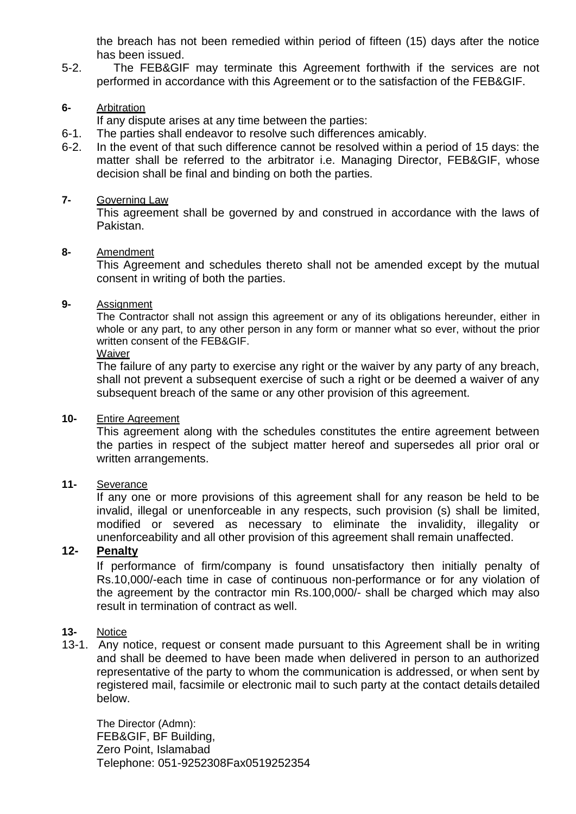the breach has not been remedied within period of fifteen (15) days after the notice has been issued.

5-2. The FEB&GIF may terminate this Agreement forthwith if the services are not performed in accordance with this Agreement or to the satisfaction of the FEB&GIF.

#### **6-** Arbitration

If any dispute arises at any time between the parties:

- 6-1. The parties shall endeavor to resolve such differences amicably.
- 6-2. In the event of that such difference cannot be resolved within a period of 15 days: the matter shall be referred to the arbitrator i.e. Managing Director, FEB&GIF, whose decision shall be final and binding on both the parties.

#### **7-** Governing Law

This agreement shall be governed by and construed in accordance with the laws of Pakistan.

#### **8-** Amendment

This Agreement and schedules thereto shall not be amended except by the mutual consent in writing of both the parties.

#### **9-** Assignment

The Contractor shall not assign this agreement or any of its obligations hereunder, either in whole or any part, to any other person in any form or manner what so ever, without the prior written consent of the FEB&GIF.

#### Waiver

The failure of any party to exercise any right or the waiver by any party of any breach, shall not prevent a subsequent exercise of such a right or be deemed a waiver of any subsequent breach of the same or any other provision of this agreement.

#### **10-** Entire Agreement

This agreement along with the schedules constitutes the entire agreement between the parties in respect of the subject matter hereof and supersedes all prior oral or written arrangements.

#### **11-** Severance

If any one or more provisions of this agreement shall for any reason be held to be invalid, illegal or unenforceable in any respects, such provision (s) shall be limited, modified or severed as necessary to eliminate the invalidity, illegality or unenforceability and all other provision of this agreement shall remain unaffected.

#### **12- Penalty**

If performance of firm/company is found unsatisfactory then initially penalty of Rs.10,000/-each time in case of continuous non-performance or for any violation of the agreement by the contractor min Rs.100,000/- shall be charged which may also result in termination of contract as well.

#### **13-** Notice

13-1. Any notice, request or consent made pursuant to this Agreement shall be in writing and shall be deemed to have been made when delivered in person to an authorized representative of the party to whom the communication is addressed, or when sent by registered mail, facsimile or electronic mail to such party at the contact details detailed below.

The Director (Admn): FEB&GIF, BF Building, Zero Point, Islamabad Telephone: 051-9252308Fax0519252354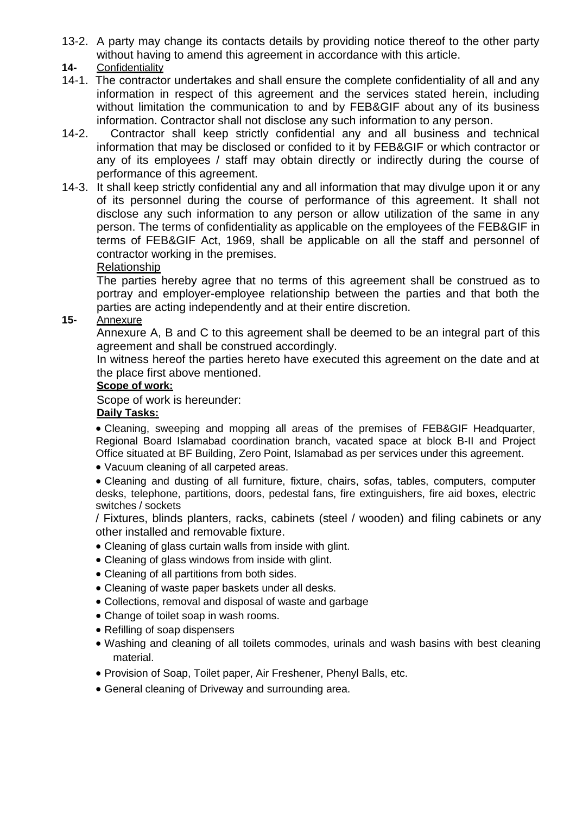13-2. A party may change its contacts details by providing notice thereof to the other party without having to amend this agreement in accordance with this article.

#### **14-** Confidentiality

- 14-1. The contractor undertakes and shall ensure the complete confidentiality of all and any information in respect of this agreement and the services stated herein, including without limitation the communication to and by FEB&GIF about any of its business information. Contractor shall not disclose any such information to any person.
- 14-2. Contractor shall keep strictly confidential any and all business and technical information that may be disclosed or confided to it by FEB&GIF or which contractor or any of its employees / staff may obtain directly or indirectly during the course of performance of this agreement.
- 14-3. It shall keep strictly confidential any and all information that may divulge upon it or any of its personnel during the course of performance of this agreement. It shall not disclose any such information to any person or allow utilization of the same in any person. The terms of confidentiality as applicable on the employees of the FEB&GIF in terms of FEB&GIF Act, 1969, shall be applicable on all the staff and personnel of contractor working in the premises.

#### Relationship

The parties hereby agree that no terms of this agreement shall be construed as to portray and employer-employee relationship between the parties and that both the parties are acting independently and at their entire discretion.

#### **15-** Annexure

Annexure A, B and C to this agreement shall be deemed to be an integral part of this agreement and shall be construed accordingly.

In witness hereof the parties hereto have executed this agreement on the date and at the place first above mentioned.

#### **Scope of work:**

Scope of work is hereunder:

#### **Daily Tasks:**

 Cleaning, sweeping and mopping all areas of the premises of FEB&GIF Headquarter, Regional Board Islamabad coordination branch, vacated space at block B-II and Project Office situated at BF Building, Zero Point, Islamabad as per services under this agreement.

Vacuum cleaning of all carpeted areas.

 Cleaning and dusting of all furniture, fixture, chairs, sofas, tables, computers, computer desks, telephone, partitions, doors, pedestal fans, fire extinguishers, fire aid boxes, electric switches / sockets

/ Fixtures, blinds planters, racks, cabinets (steel / wooden) and filing cabinets or any other installed and removable fixture.

- Cleaning of glass curtain walls from inside with glint.
- Cleaning of glass windows from inside with glint.
- Cleaning of all partitions from both sides.
- Cleaning of waste paper baskets under all desks.
- Collections, removal and disposal of waste and garbage
- Change of toilet soap in wash rooms.
- Refilling of soap dispensers
- Washing and cleaning of all toilets commodes, urinals and wash basins with best cleaning material.
- Provision of Soap, Toilet paper, Air Freshener, Phenyl Balls, etc.
- General cleaning of Driveway and surrounding area.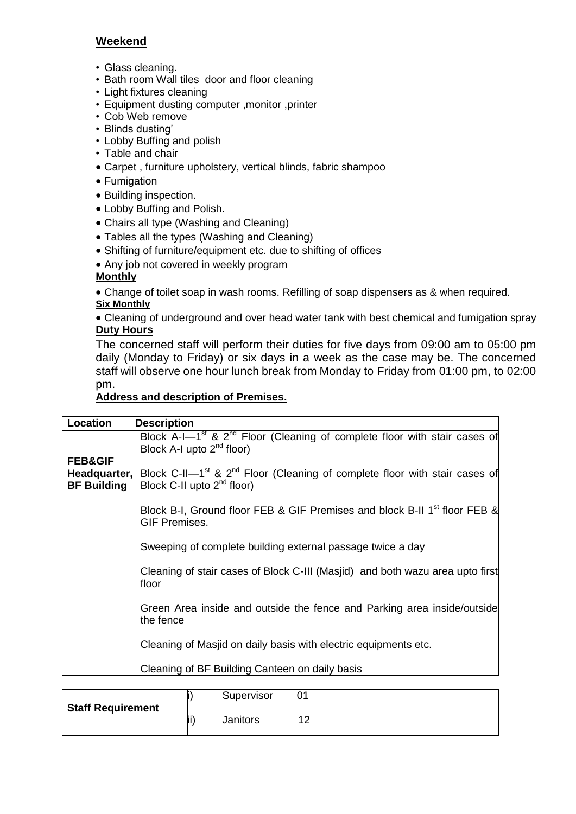#### **Weekend**

- Glass cleaning.
- Bath room Wall tiles door and floor cleaning
- Light fixtures cleaning
- Equipment dusting computer ,monitor ,printer
- Cob Web remove
- Blinds dusting'
- Lobby Buffing and polish
- Table and chair
- Carpet , furniture upholstery, vertical blinds, fabric shampoo
- Fumigation
- Building inspection.
- Lobby Buffing and Polish.
- Chairs all type (Washing and Cleaning)
- Tables all the types (Washing and Cleaning)
- Shifting of furniture/equipment etc. due to shifting of offices
- Any job not covered in weekly program

#### **Monthly**

 Change of toilet soap in wash rooms. Refilling of soap dispensers as & when required. **Six Monthly**

 Cleaning of underground and over head water tank with best chemical and fumigation spray **Duty Hours**

The concerned staff will perform their duties for five days from 09:00 am to 05:00 pm daily (Monday to Friday) or six days in a week as the case may be. The concerned staff will observe one hour lunch break from Monday to Friday from 01:00 pm, to 02:00 pm.

#### **Address and description of Premises.**

| Location                                                 | <b>Description</b>                                                                                                                           |  |  |  |  |  |  |
|----------------------------------------------------------|----------------------------------------------------------------------------------------------------------------------------------------------|--|--|--|--|--|--|
|                                                          | Block A-I-1 <sup>st</sup> & 2 <sup>nd</sup> Floor (Cleaning of complete floor with stair cases of<br>Block A-I upto $2^{nd}$ floor)          |  |  |  |  |  |  |
| <b>FEB&amp;GIF</b><br>Headquarter,<br><b>BF Building</b> | Block C-II-1 <sup>st</sup> & 2 <sup>nd</sup> Floor (Cleaning of complete floor with stair cases of<br>Block C-II upto 2 <sup>nd</sup> floor) |  |  |  |  |  |  |
|                                                          | Block B-I, Ground floor FEB & GIF Premises and block B-II 1 <sup>st</sup> floor FEB &<br><b>GIF Premises.</b>                                |  |  |  |  |  |  |
|                                                          | Sweeping of complete building external passage twice a day                                                                                   |  |  |  |  |  |  |
|                                                          | Cleaning of stair cases of Block C-III (Masjid) and both wazu area upto first<br>floor                                                       |  |  |  |  |  |  |
|                                                          | Green Area inside and outside the fence and Parking area inside/outside<br>the fence                                                         |  |  |  |  |  |  |
|                                                          | Cleaning of Masjid on daily basis with electric equipments etc.                                                                              |  |  |  |  |  |  |
|                                                          | Cleaning of BF Building Canteen on daily basis                                                                                               |  |  |  |  |  |  |

| <b>Staff Requirement</b> |      | Supervisor |  |
|--------------------------|------|------------|--|
|                          | lii` | Janitors   |  |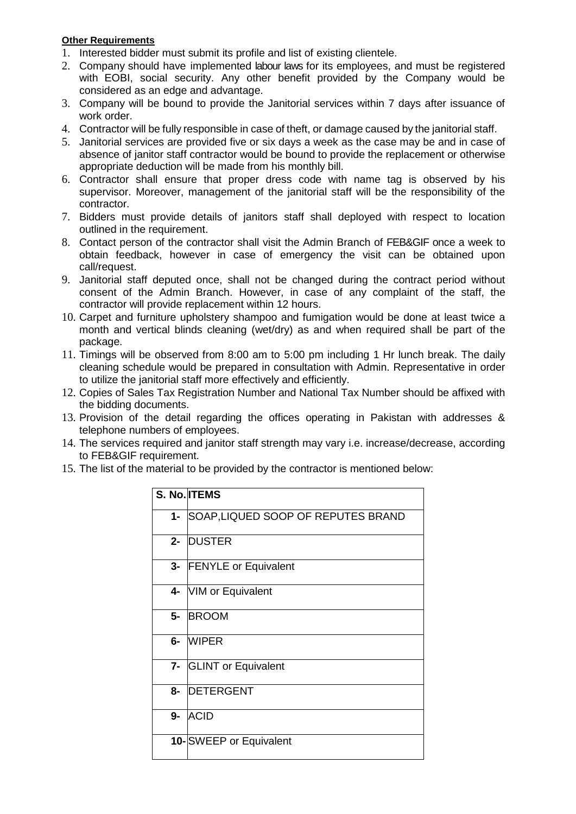#### **Other Requirements**

- 1. Interested bidder must submit its profile and list of existing clientele.
- 2. Company should have implemented labour laws for its employees, and must be registered with EOBI, social security. Any other benefit provided by the Company would be considered as an edge and advantage.
- 3. Company will be bound to provide the Janitorial services within 7 days after issuance of work order.
- 4. Contractor will be fully responsible in case of theft, or damage caused by the janitorial staff.
- 5. Janitorial services are provided five or six days a week as the case may be and in case of absence of janitor staff contractor would be bound to provide the replacement or otherwise appropriate deduction will be made from his monthly bill.
- 6. Contractor shall ensure that proper dress code with name tag is observed by his supervisor. Moreover, management of the janitorial staff will be the responsibility of the contractor.
- 7. Bidders must provide details of janitors staff shall deployed with respect to location outlined in the requirement.
- 8. Contact person of the contractor shall visit the Admin Branch of FEB&GIF once a week to obtain feedback, however in case of emergency the visit can be obtained upon call/request.
- 9. Janitorial staff deputed once, shall not be changed during the contract period without consent of the Admin Branch. However, in case of any complaint of the staff, the contractor will provide replacement within 12 hours.
- 10. Carpet and furniture upholstery shampoo and fumigation would be done at least twice a month and vertical blinds cleaning (wet/dry) as and when required shall be part of the package.
- 11. Timings will be observed from 8:00 am to 5:00 pm including 1 Hr lunch break. The daily cleaning schedule would be prepared in consultation with Admin. Representative in order to utilize the janitorial staff more effectively and efficiently.
- 12. Copies of Sales Tax Registration Number and National Tax Number should be affixed with the bidding documents.
- 13. Provision of the detail regarding the offices operating in Pakistan with addresses & telephone numbers of employees.
- 14. The services required and janitor staff strength may vary i.e. increase/decrease, according to FEB&GIF requirement.
- 15. The list of the material to be provided by the contractor is mentioned below:

|       | S. No. ITEMS                       |
|-------|------------------------------------|
| $1 -$ | SOAP, LIQUED SOOP OF REPUTES BRAND |
| $2 -$ | <b>DUSTER</b>                      |
| $3-$  | <b>FENYLE or Equivalent</b>        |
| 4-    | VIM or Equivalent                  |
| 5-    | <b>BROOM</b>                       |
| 6-    | <b>IWIPER</b>                      |
| $7-$  | <b>GLINT or Equivalent</b>         |
| 8-    | <b>DETERGENT</b>                   |
| 9-    | <b>ACID</b>                        |
|       | 10-SWEEP or Equivalent             |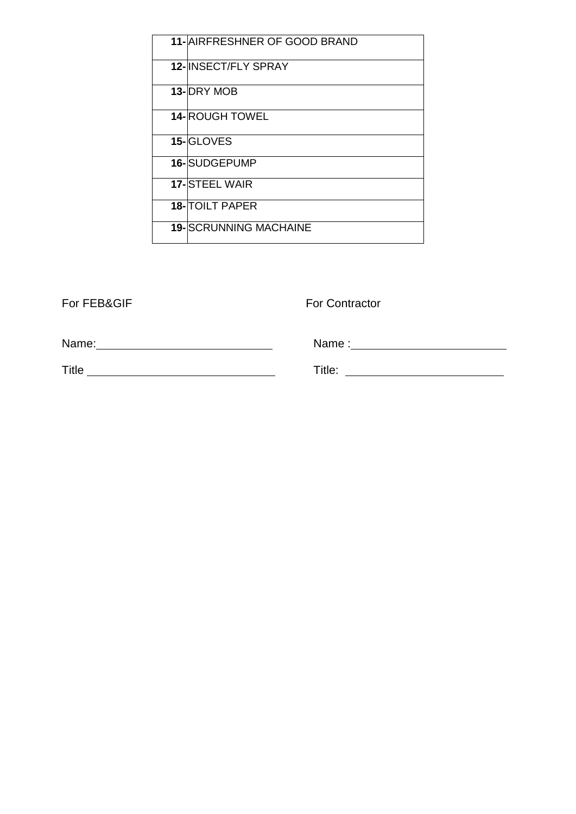| 11- AIRFRESHNER OF GOOD BRAND |
|-------------------------------|
| <b>12-IINSECT/FLY SPRAY</b>   |
| 13-IDRY MOB                   |
| <b>14- ROUGH TOWEL</b>        |
| 15-GLOVES                     |
| 16-SUDGEPUMP                  |
| <b>17-STEEL WAIR</b>          |
| <b>18-TOILT PAPER</b>         |
| <b>19-SCRUNNING MACHAINE</b>  |

For FEB&GIF For Contractor

Name: Name:

Title

Name :

Title: